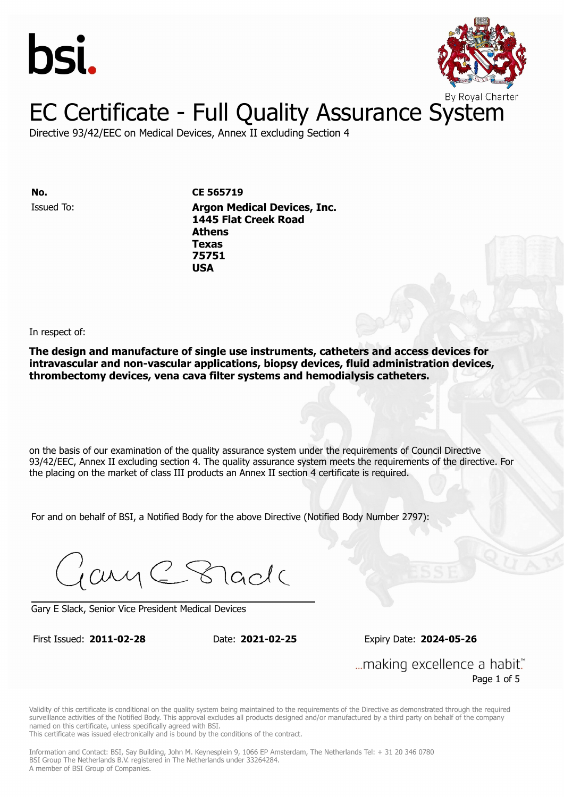



Directive 93/42/EEC on Medical Devices, Annex II excluding Section 4

Issued To: **Argon Medical Devices, Inc. No. CE 565719 1445 Flat Creek Road Athens** Issued To: **Argon Medical Devices, Inc. Texas 1445 Flat Creek Road 75751 Athens Texas 75751 USA**

In respect of:

**The design and manufacture of single use instruments, catheters and access devices for intravascular and non-vascular applications, biopsy devices, fluid administration devices, thrombectomy devices, vena cava filter systems and hemodialysis catheters.**

on the basis of our examination of the quality assurance system under the requirements of Council Directive 93/42/EEC, Annex II excluding section 4. The quality assurance system meets the requirements of the directive. For the placing on the market of class III products an Annex II section 4 certificate is required.

For and on behalf of BSI, a Notified Body for the above Directive (Notified Body Number 2797):

Gary C Stade

Gary E Slack, Senior Vice President Medical Devices

First Issued: **2011-02-28** Date: **2021-02-25** Expiry Date: **2024-05-26**

First Issued: **2011-02-28** Date: **2021-02-25** Expiry Date: **2024-05-26**

... making excellence a habit." Page 1 of 5

Validity of this certificate is conditional on the quality system being maintained to the requirements of the Directive as demonstrated through the required surveillance activities of the Notified Body. This approval excludes all products designed and/or manufactured by a third party on behalf of the company named on this certificate, unless specifically agreed with BSI.

This certificate was issued electronically and is bound by the conditions of the contract.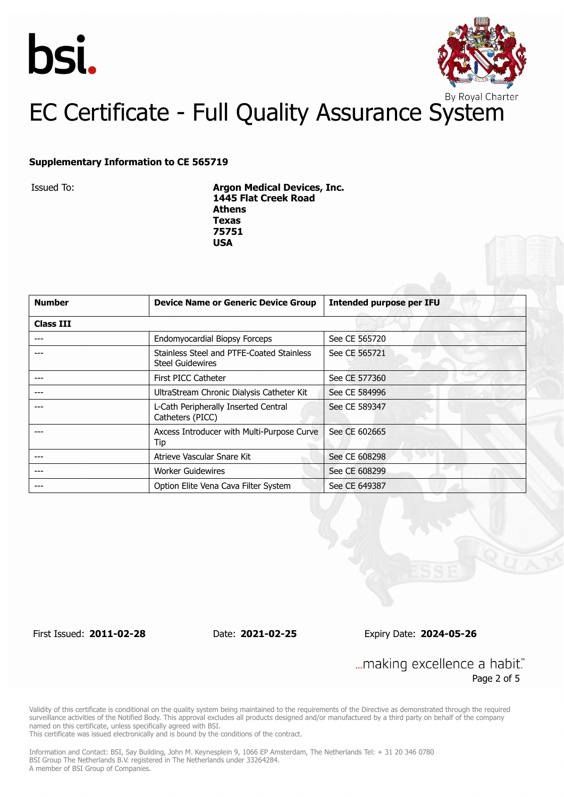



#### **Supplementary Information to CE 565719**

Issued To: **Argon Medical Devices, Inc. 1445 Flat Creek Road Athens Texas 75751 USA**

| <b>Number</b>    | <b>Device Name or Generic Device Group</b>                           | <b>Intended purpose per IFU</b> |
|------------------|----------------------------------------------------------------------|---------------------------------|
| <b>Class III</b> |                                                                      |                                 |
|                  | Endomyocardial Biopsy Forceps                                        | See CE 565720                   |
|                  | Stainless Steel and PTFE-Coated Stainless<br><b>Steel Guidewires</b> | See CE 565721                   |
|                  | First PICC Catheter                                                  | See CE 577360                   |
|                  | UltraStream Chronic Dialysis Catheter Kit                            | See CE 584996                   |
|                  | L-Cath Peripherally Inserted Central<br>Catheters (PICC)             | See CE 589347                   |
|                  | Axcess Introducer with Multi-Purpose Curve<br>Tip                    | See CE 602665                   |
|                  | Atrieve Vascular Snare Kit                                           | See CE 608298                   |
|                  | <b>Worker Guidewires</b>                                             | See CE 608299                   |
|                  | Option Elite Vena Cava Filter System                                 | See CE 649387                   |

First Issued: **2011-02-28** Date: **2021-02-25** Expiry Date: **2024-05-26**

... making excellence a habit." Page 2 of 5

Validity of this certificate is conditional on the quality system being maintained to the requirements of the Directive as demonstrated through the required surveillance activities of the Notified Body. This approval excludes all products designed and/or manufactured by a third party on behalf of the company named on this certificate, unless specifically agreed with BSI.

This certificate was issued electronically and is bound by the conditions of the contract.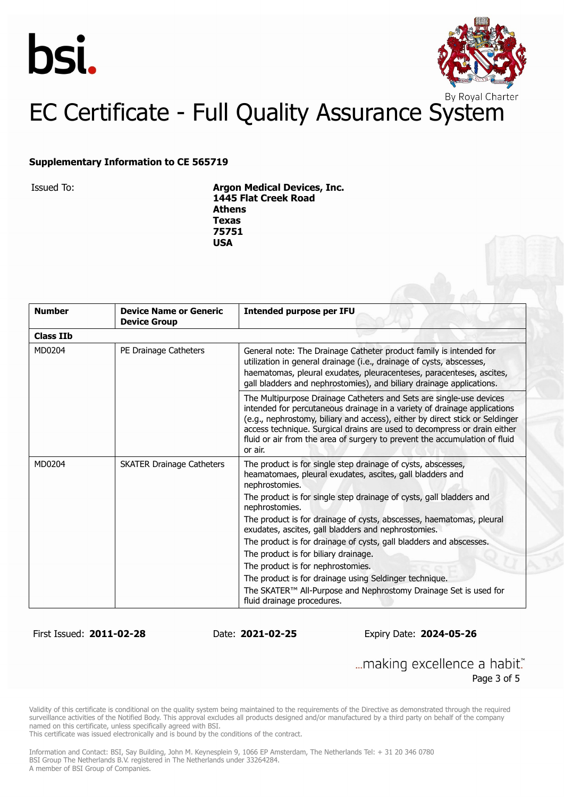



#### **Supplementary Information to CE 565719**

Issued To: **Argon Medical Devices, Inc. 1445 Flat Creek Road Athens Texas 75751 USA**

| <b>Number</b>    | <b>Device Name or Generic</b><br><b>Device Group</b> | <b>Intended purpose per IFU</b>                                                                                                                                                                                                                                                                                                                                                                      |
|------------------|------------------------------------------------------|------------------------------------------------------------------------------------------------------------------------------------------------------------------------------------------------------------------------------------------------------------------------------------------------------------------------------------------------------------------------------------------------------|
| <b>Class IIb</b> |                                                      |                                                                                                                                                                                                                                                                                                                                                                                                      |
| MD0204           | PE Drainage Catheters                                | General note: The Drainage Catheter product family is intended for<br>utilization in general drainage (i.e., drainage of cysts, abscesses,<br>haematomas, pleural exudates, pleuracenteses, paracenteses, ascites,<br>gall bladders and nephrostomies), and biliary drainage applications.                                                                                                           |
|                  |                                                      | The Multipurpose Drainage Catheters and Sets are single-use devices<br>intended for percutaneous drainage in a variety of drainage applications<br>(e.g., nephrostomy, biliary and access), either by direct stick or Seldinger<br>access technique. Surgical drains are used to decompress or drain either<br>fluid or air from the area of surgery to prevent the accumulation of fluid<br>or air. |
| MD0204           | <b>SKATER Drainage Catheters</b>                     | The product is for single step drainage of cysts, abscesses,<br>heamatomaes, pleural exudates, ascites, gall bladders and<br>nephrostomies.                                                                                                                                                                                                                                                          |
|                  |                                                      | The product is for single step drainage of cysts, gall bladders and<br>nephrostomies.                                                                                                                                                                                                                                                                                                                |
|                  |                                                      | The product is for drainage of cysts, abscesses, haematomas, pleural<br>exudates, ascites, gall bladders and nephrostomies.                                                                                                                                                                                                                                                                          |
|                  |                                                      | The product is for drainage of cysts, gall bladders and abscesses.                                                                                                                                                                                                                                                                                                                                   |
|                  |                                                      | The product is for biliary drainage.                                                                                                                                                                                                                                                                                                                                                                 |
|                  |                                                      | The product is for nephrostomies.                                                                                                                                                                                                                                                                                                                                                                    |
|                  |                                                      | The product is for drainage using Seldinger technique.                                                                                                                                                                                                                                                                                                                                               |
|                  |                                                      | The SKATER™ All-Purpose and Nephrostomy Drainage Set is used for<br>fluid drainage procedures.                                                                                                                                                                                                                                                                                                       |

First Issued: **2011-02-28** Date: **2021-02-25** Expiry Date: **2024-05-26**

... making excellence a habit." Page 3 of 5

Validity of this certificate is conditional on the quality system being maintained to the requirements of the Directive as demonstrated through the required surveillance activities of the Notified Body. This approval excludes all products designed and/or manufactured by a third party on behalf of the company named on this certificate, unless specifically agreed with BSI.

This certificate was issued electronically and is bound by the conditions of the contract.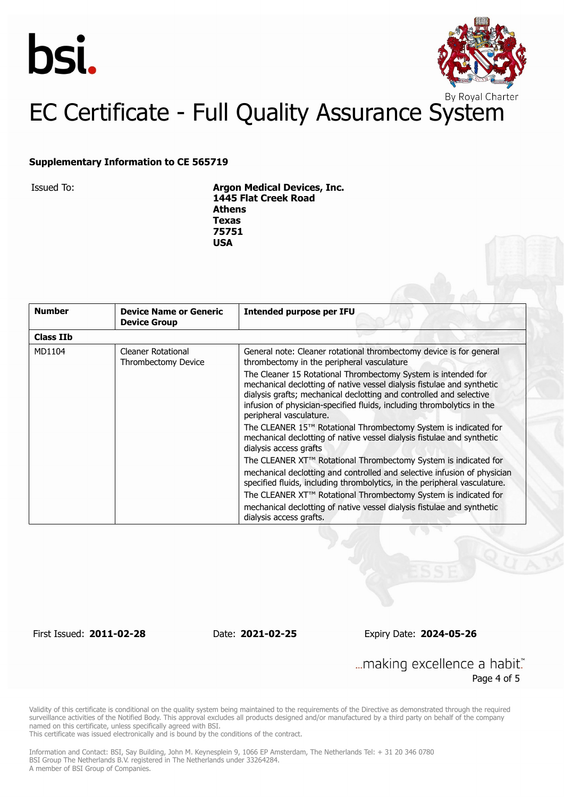



#### **Supplementary Information to CE 565719**

Issued To: **Argon Medical Devices, Inc. 1445 Flat Creek Road Athens Texas 75751 USA**

| <b>Number</b>    | <b>Device Name or Generic</b><br><b>Device Group</b> | <b>Intended purpose per IFU</b>                                                                                                                                                                                                                                                                                     |
|------------------|------------------------------------------------------|---------------------------------------------------------------------------------------------------------------------------------------------------------------------------------------------------------------------------------------------------------------------------------------------------------------------|
| <b>Class IIb</b> |                                                      |                                                                                                                                                                                                                                                                                                                     |
| MD1104           | <b>Cleaner Rotational</b><br>Thrombectomy Device     | General note: Cleaner rotational thrombectomy device is for general<br>thrombectomy in the peripheral vasculature                                                                                                                                                                                                   |
|                  |                                                      | The Cleaner 15 Rotational Thrombectomy System is intended for<br>mechanical declotting of native vessel dialysis fistulae and synthetic<br>dialysis grafts; mechanical declotting and controlled and selective<br>infusion of physician-specified fluids, including thrombolytics in the<br>peripheral vasculature. |
|                  |                                                      | The CLEANER 15™ Rotational Thrombectomy System is indicated for<br>mechanical declotting of native vessel dialysis fistulae and synthetic<br>dialysis access grafts                                                                                                                                                 |
|                  |                                                      | The CLEANER XT™ Rotational Thrombectomy System is indicated for                                                                                                                                                                                                                                                     |
|                  |                                                      | mechanical declotting and controlled and selective infusion of physician<br>specified fluids, including thrombolytics, in the peripheral vasculature.                                                                                                                                                               |
|                  |                                                      | The CLEANER XT™ Rotational Thrombectomy System is indicated for                                                                                                                                                                                                                                                     |
|                  |                                                      | mechanical declotting of native vessel dialysis fistulae and synthetic<br>dialysis access grafts.                                                                                                                                                                                                                   |

First Issued: **2011-02-28** Date: **2021-02-25** Expiry Date: **2024-05-26**

... making excellence a habit." Page 4 of 5

Validity of this certificate is conditional on the quality system being maintained to the requirements of the Directive as demonstrated through the required surveillance activities of the Notified Body. This approval excludes all products designed and/or manufactured by a third party on behalf of the company named on this certificate, unless specifically agreed with BSI.

This certificate was issued electronically and is bound by the conditions of the contract.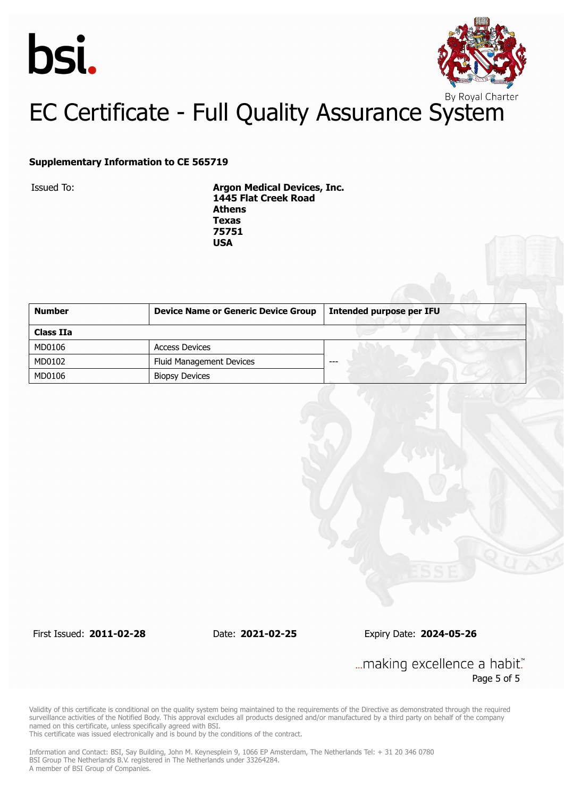



#### **Supplementary Information to CE 565719**

Issued To: **Argon Medical Devices, Inc. 1445 Flat Creek Road Athens Texas 75751 USA**

| <b>Number</b> | <b>Device Name or Generic Device Group</b> | <b>Intended purpose per IFU</b> |
|---------------|--------------------------------------------|---------------------------------|
| Class IIa     |                                            |                                 |
| MD0106        | <b>Access Devices</b>                      |                                 |
| MD0102        | <b>Fluid Management Devices</b>            | ---                             |
| MD0106        | <b>Biopsy Devices</b>                      |                                 |

First Issued: **2011-02-28** Date: **2021-02-25** Expiry Date: **2024-05-26**

... making excellence a habit." Page 5 of 5

Validity of this certificate is conditional on the quality system being maintained to the requirements of the Directive as demonstrated through the required surveillance activities of the Notified Body. This approval excludes all products designed and/or manufactured by a third party on behalf of the company named on this certificate, unless specifically agreed with BSI.

This certificate was issued electronically and is bound by the conditions of the contract.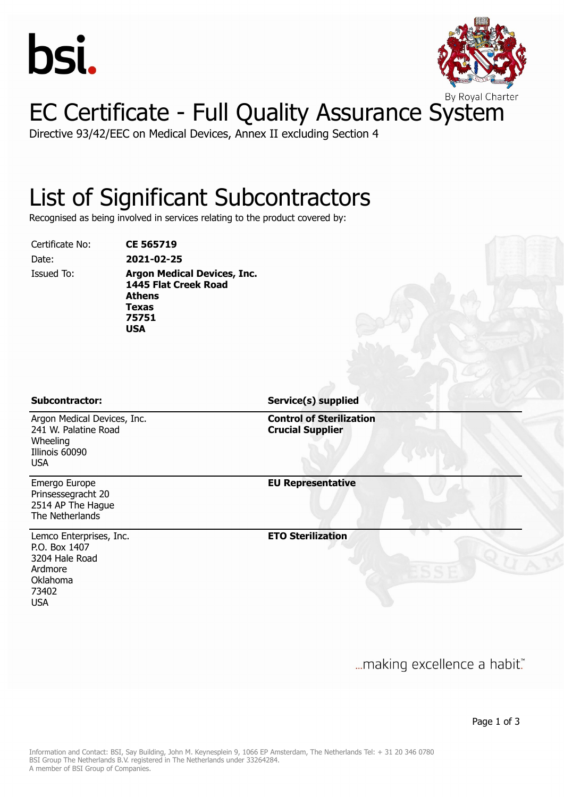



Directive 93/42/EEC on Medical Devices, Annex II excluding Section 4

#### List of Significant Subcontractors

Recognised as being involved in services relating to the product covered by:

Certificate No: **CE 565719**

Date: **2021-02-25** Issued To: **Argon Medical Devices, Inc. 1445 Flat Creek Road Athens Texas 75751 USA**

Argon Medical Devices, Inc. 241 W. Palatine Road Wheeling Illinois 60090 USA

Emergo Europe Prinsessegracht 20 2514 AP The Hague The Netherlands

Lemco Enterprises, Inc. P.O. Box 1407 3204 Hale Road Ardmore Oklahoma 73402 USA

**Subcontractor: Service(s) supplied**

**Control of Sterilization Crucial Supplier**

**EU Representative**

**ETO Sterilization**

... making excellence a habit."

Page 1 of 3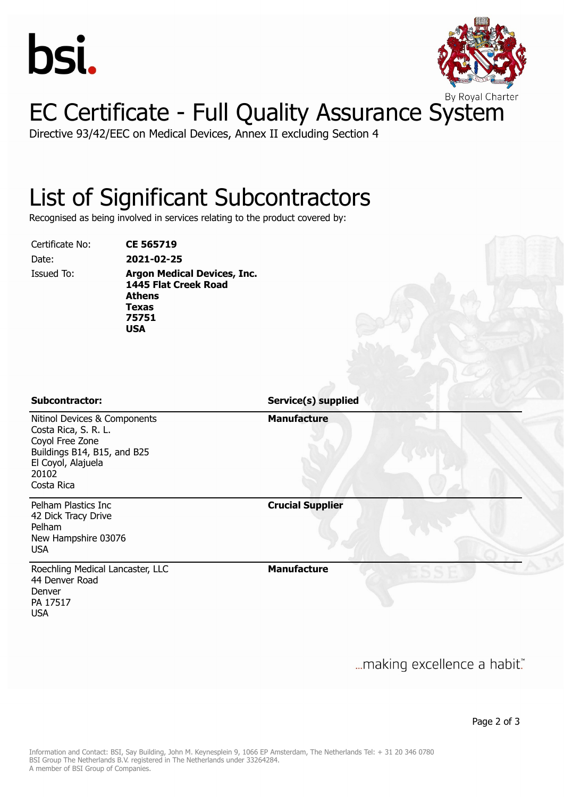



Directive 93/42/EEC on Medical Devices, Annex II excluding Section 4

#### List of Significant Subcontractors

Recognised as being involved in services relating to the product covered by:

Certificate No: **CE 565719**

Date: **2021-02-25**

Issued To: **Argon Medical Devices, Inc. 1445 Flat Creek Road Athens Texas 75751 USA**

**Subcontractor: Service(s) supplied**

**Manufacture**

Nitinol Devices & Components Costa Rica, S. R. L. Coyol Free Zone Buildings B14, B15, and B25 El Coyol, Alajuela 20102 Costa Rica

Pelham Plastics Inc 42 Dick Tracy Drive Pelham New Hampshire 03076 USA

Roechling Medical Lancaster, LLC 44 Denver Road Denver PA 17517 USA

**Crucial Supplier**

**Manufacture**

... making excellence a habit."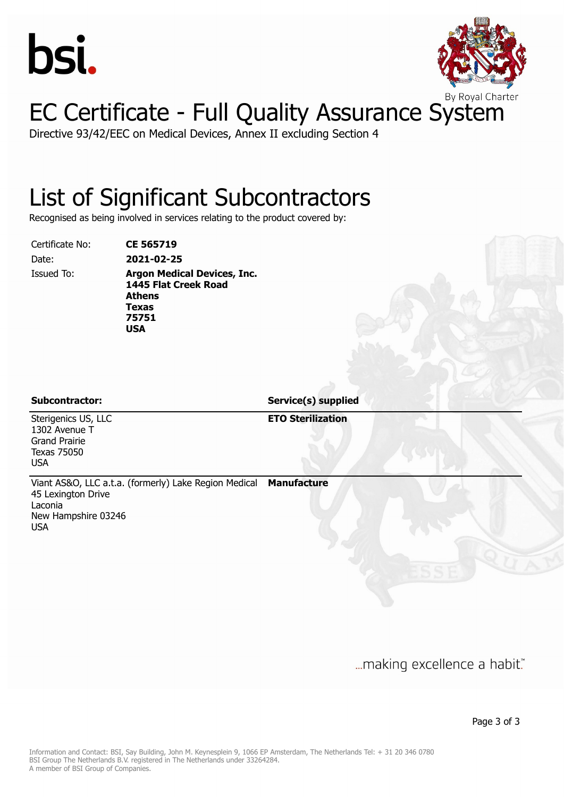



Directive 93/42/EEC on Medical Devices, Annex II excluding Section 4

#### List of Significant Subcontractors

Recognised as being involved in services relating to the product covered by:

Certificate No: **CE 565719**

Date: **2021-02-25**

Issued To: **Argon Medical Devices, Inc. 1445 Flat Creek Road Athens Texas 75751 USA**

**Subcontractor: Service(s) supplied**

Sterigenics US, LLC 1302 Avenue T Grand Prairie Texas 75050 USA

**ETO Sterilization**

Viant AS&O, LLC a.t.a. (formerly) Lake Region Medical 45 Lexington Drive Laconia New Hampshire 03246 USA **Manufacture**

... making excellence a habit."

Page 3 of 3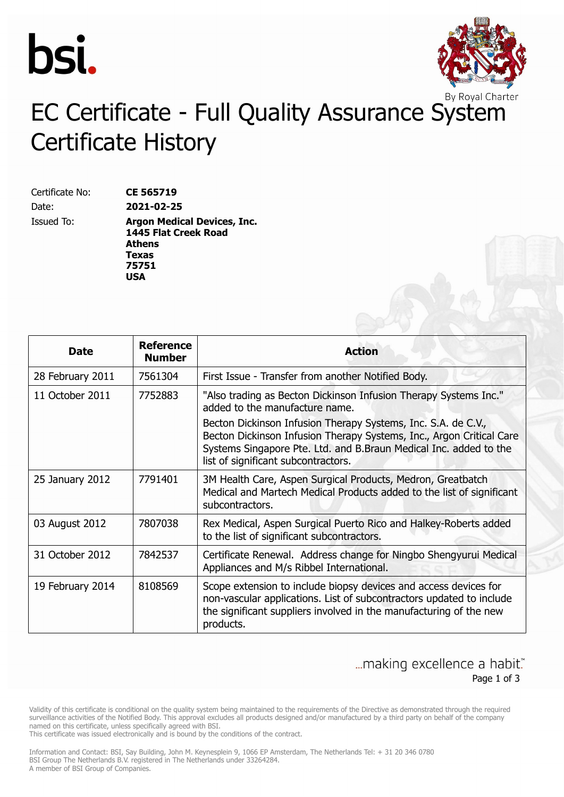



# EC Certificate - Full Quality Assurance System Certificate History

Certificate No: **CE 565719** Date: **2021-02-25**

Issued To: **Argon Medical Devices, Inc. 1445 Flat Creek Road Athens Texas 75751 USA**

| <b>Date</b>      | Reference<br><b>Number</b> | <b>Action</b>                                                                                                                                                                                                                                     |
|------------------|----------------------------|---------------------------------------------------------------------------------------------------------------------------------------------------------------------------------------------------------------------------------------------------|
| 28 February 2011 | 7561304                    | First Issue - Transfer from another Notified Body.                                                                                                                                                                                                |
| 11 October 2011  | 7752883                    | "Also trading as Becton Dickinson Infusion Therapy Systems Inc."<br>added to the manufacture name.                                                                                                                                                |
|                  |                            | Becton Dickinson Infusion Therapy Systems, Inc. S.A. de C.V.,<br>Becton Dickinson Infusion Therapy Systems, Inc., Argon Critical Care<br>Systems Singapore Pte. Ltd. and B.Braun Medical Inc. added to the<br>list of significant subcontractors. |
| 25 January 2012  | 7791401                    | 3M Health Care, Aspen Surgical Products, Medron, Greatbatch<br>Medical and Martech Medical Products added to the list of significant<br>subcontractors.                                                                                           |
| 03 August 2012   | 7807038                    | Rex Medical, Aspen Surgical Puerto Rico and Halkey-Roberts added<br>to the list of significant subcontractors.                                                                                                                                    |
| 31 October 2012  | 7842537                    | Certificate Renewal. Address change for Ningbo Shengyurui Medical<br>Appliances and M/s Ribbel International.                                                                                                                                     |
| 19 February 2014 | 8108569                    | Scope extension to include biopsy devices and access devices for<br>non-vascular applications. List of subcontractors updated to include<br>the significant suppliers involved in the manufacturing of the new<br>products.                       |

... making excellence a habit." Page 1 of 3

Validity of this certificate is conditional on the quality system being maintained to the requirements of the Directive as demonstrated through the required surveillance activities of the Notified Body. This approval excludes all products designed and/or manufactured by a third party on behalf of the company named on this certificate, unless specifically agreed with BSI.

This certificate was issued electronically and is bound by the conditions of the contract.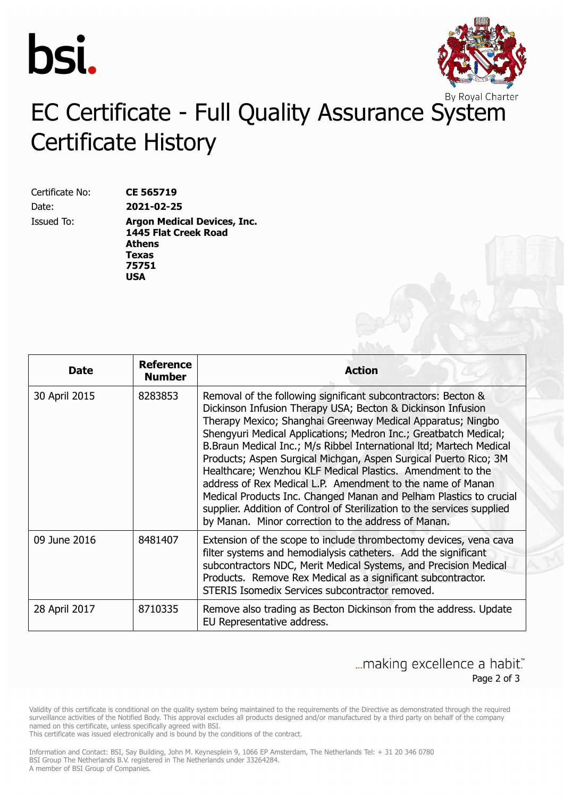



# EC Certificate - Full Quality Assurance System Certificate History

Certificate No: **CE 565719** Date: **2021-02-25**

Issued To: **Argon Medical Devices, Inc. 1445 Flat Creek Road Athens Texas 75751 USA**

| <b>Date</b>   | <b>Reference</b><br><b>Number</b> | <b>Action</b>                                                                                                                                                                                                                                                                                                                                                                                                                                                                                                                                                                                                                                                                                                                                  |
|---------------|-----------------------------------|------------------------------------------------------------------------------------------------------------------------------------------------------------------------------------------------------------------------------------------------------------------------------------------------------------------------------------------------------------------------------------------------------------------------------------------------------------------------------------------------------------------------------------------------------------------------------------------------------------------------------------------------------------------------------------------------------------------------------------------------|
| 30 April 2015 | 8283853                           | Removal of the following significant subcontractors: Becton &<br>Dickinson Infusion Therapy USA; Becton & Dickinson Infusion<br>Therapy Mexico; Shanghai Greenway Medical Apparatus; Ningbo<br>Shengyuri Medical Applications; Medron Inc.; Greatbatch Medical;<br>B.Braun Medical Inc.; M/s Ribbel International ltd; Martech Medical<br>Products; Aspen Surgical Michgan, Aspen Surgical Puerto Rico; 3M<br>Healthcare; Wenzhou KLF Medical Plastics. Amendment to the<br>address of Rex Medical L.P. Amendment to the name of Manan<br>Medical Products Inc. Changed Manan and Pelham Plastics to crucial<br>supplier. Addition of Control of Sterilization to the services supplied<br>by Manan. Minor correction to the address of Manan. |
| 09 June 2016  | 8481407                           | Extension of the scope to include thrombectomy devices, vena cava<br>filter systems and hemodialysis catheters. Add the significant<br>subcontractors NDC, Merit Medical Systems, and Precision Medical<br>Products. Remove Rex Medical as a significant subcontractor.<br>STERIS Isomedix Services subcontractor removed.                                                                                                                                                                                                                                                                                                                                                                                                                     |
| 28 April 2017 | 8710335                           | Remove also trading as Becton Dickinson from the address. Update<br>EU Representative address.                                                                                                                                                                                                                                                                                                                                                                                                                                                                                                                                                                                                                                                 |

... making excellence a habit." Page 2 of 3

Validity of this certificate is conditional on the quality system being maintained to the requirements of the Directive as demonstrated through the required surveillance activities of the Notified Body. This approval excludes all products designed and/or manufactured by a third party on behalf of the company named on this certificate, unless specifically agreed with BSI.

This certificate was issued electronically and is bound by the conditions of the contract.